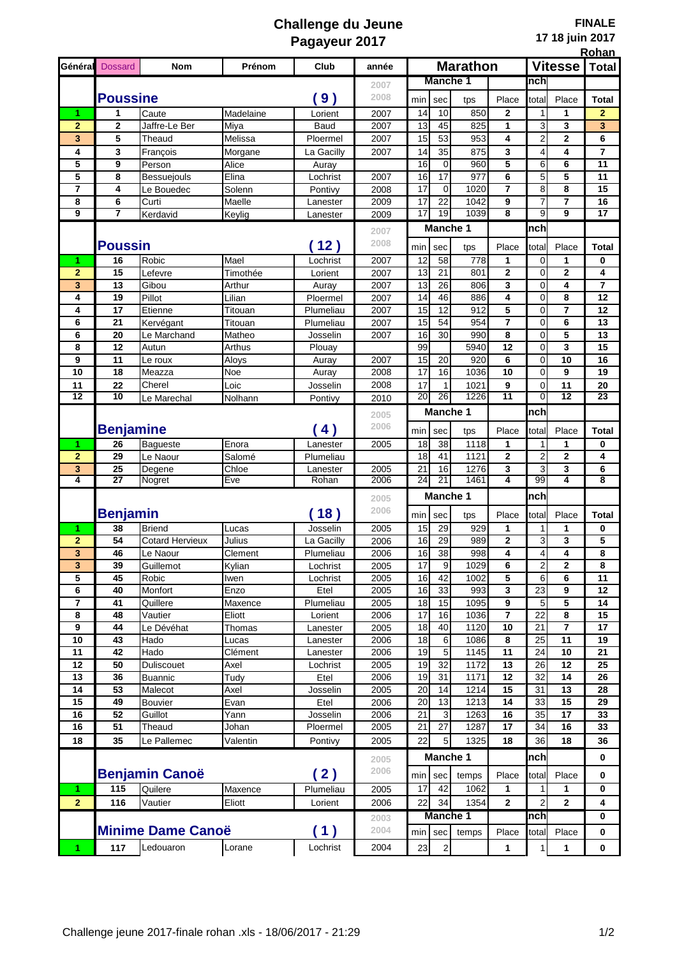## **Challenge du Jeune Pagayeur 2017**

|                | Général Dossard             | <b>Nom</b>                | Prénom       | Club             | année        | <b>Marathon</b>   |                 |              |                | Vitesse          |                 | <b>Total</b>    |
|----------------|-----------------------------|---------------------------|--------------|------------------|--------------|-------------------|-----------------|--------------|----------------|------------------|-----------------|-----------------|
|                |                             |                           |              |                  | 2007         | <b>Manche 1</b>   |                 |              | nchl           |                  |                 |                 |
|                | <b>Poussine</b>             |                           |              | 9)               | 2008         | min               | sec             | tps          | Place          | total            | Place           | <b>Total</b>    |
| 1              | 1                           | Caute                     | Madelaine    | Lorient          | 2007         | 14                | 10              | 850          | $\mathbf{2}$   | 1                | 1               | $\mathbf{2}$    |
| $\overline{2}$ | 2                           | Jaffre-Le Ber             | Miya         | Baud             | 2007         | 13                | 45              | 825          | 1              | 3                | 3               | 3               |
| 3              | 5                           | Theaud                    | Melissa      | Ploermel         | 2007         | 15                | 53              | 953          | 4              | $\overline{2}$   | 2               | 6               |
| 4              | 3                           | François                  | Morgane      | La Gacilly       | 2007         | 14                | 35              | 875          | 3              | 4                | 4               | $\overline{7}$  |
| 5              | 9                           | Person                    | Alice        | Auray            |              | 16                | $\mathbf 0$     | 960          | 5              | 6                | 6               | 11              |
| 5              | 8                           | <b>Bessuejouls</b>        | Elina        | Lochrist         | 2007         | 16                | 17              | 977          | 6              | 5                | 5               | 11              |
| $\overline{7}$ | 4                           | Le Bouedec                | Solenn       | Pontivy          | 2008         | 17                | $\mathbf 0$     | 1020         | 7              | 8                | 8               | 15              |
| 8              | 6                           | Curti                     | Maelle       | Lanester         | 2009         | 17                | 22              | 1042         | 9              | $\overline{7}$   | $\overline{7}$  | 16              |
| $\overline{9}$ | 7                           | Kerdavid                  | Keylig       | Lanester         | 2009         | $\overline{17}$   | 19              | 1039         | 8              | $\overline{9}$   | $\overline{9}$  | $\overline{17}$ |
|                |                             |                           |              |                  | 2007         |                   | Manche 1        |              |                | nch              |                 |                 |
|                | <b>Poussin</b><br>12)       |                           |              |                  | 2008         | min<br>sec<br>tps |                 |              | Place          | total            | Place           | <b>Total</b>    |
| 1              | 16                          | Robic                     | Mael         | Lochrist         | 2007         | 12                | 58              | 778          | 1              | 0                | 1               | 0               |
| $\overline{2}$ | 15                          | Lefevre                   | Timothée     | Lorient          | 2007         | 13                | 21              | 801          | $\mathbf 2$    | $\mathbf 0$      | 2               | 4               |
| 3              | 13                          | Gibou                     | Arthur       | Auray            | 2007         | 13                | 26              | 806          | 3              | $\mathbf 0$      | 4               | 7               |
| 4              | 19                          | Pillot                    | Lilian       | Ploermel         | 2007         | 14                | 46              | 886          | 4              | $\mathbf 0$      | 8               | 12              |
| 4              | 17                          | Etienne                   | Titouan      | Plumeliau        | 2007         | 15                | 12              | 912          | 5              | $\mathbf 0$      | $\overline{7}$  | 12              |
| 6              | 21                          | Kervégant                 | Titouan      | Plumeliau        | 2007         | 15                | 54              | 954          | $\overline{7}$ | $\mathbf 0$      | 6               | 13              |
| 6              | 20                          | Le Marchand               | Matheo       | Josselin         | 2007         | 16                | 30              | 990          | 8              | $\mathbf 0$      | 5               | 13              |
| 8              | 12                          | Autun                     | Arthus       | Plouay           |              | 99                |                 | 5940         | 12             | $\mathbf 0$      | 3               | 15              |
| 9              | 11                          | Le roux                   | Aloys        | Auray            | 2007         | 15                | 20              | 920          | 6              | $\mathbf 0$      | 10              | 16              |
| 10             | 18                          | Meazza                    | Noe          | Auray            | 2008         | 17                | 16              | 1036         | 10             | $\mathbf 0$      | 9               | 19              |
| 11             | 22                          | Cherel                    | Loic         | Josselin         | 2008         | 17                | $\mathbf{1}$    | 1021         | 9              | $\mathbf 0$      | 11              | 20              |
| 12             | 10                          | Le Marechal               | Nolhann      | Pontivy          | 2010         | 20                | 26              | 1226         | 11             | $\overline{0}$   | $\overline{12}$ | 23              |
|                |                             |                           |              |                  | 2005         |                   | <b>Manche 1</b> |              |                | nch              |                 |                 |
|                | <b>Benjamine</b>            | 2006                      | min          | sec              | tps          | Place             | total           | Place        | <b>Total</b>   |                  |                 |                 |
| 1              | 26                          | <b>Bagueste</b>           | Enora        | 4)<br>Lanester   | 2005         | 18                | 38              | 1118         | 1              | 1                | 1               | 0               |
| $\overline{2}$ | 29                          | Le Naour                  | Salomé       | Plumeliau        |              | 18                | 41              | 1121         | 2              | $\boldsymbol{2}$ | $\mathbf 2$     | 4               |
| 3              | 25                          | Degene                    | Chloe        | Lanester         | 2005         | 21                | 16              | 1276         | 3              | 3                | 3               | 6               |
| 4              | $\overline{27}$             | Nogret                    | Eve          | Rohan            | 2006         | $\overline{24}$   | 21              | 1461         | 4              | 99               | 4               | 8               |
|                |                             |                           |              |                  | 2005         |                   | <b>Manche 1</b> |              |                | nch              |                 |                 |
|                | 18)<br><b>Benjamin</b>      |                           |              |                  | 2006         | min               | sec             | tps          | Place          | total            | Place           | Total           |
| 1              | 38                          | <b>Briend</b>             | Lucas        | Josselin         | 2005         | 15                | 29              | 929          | 1              | 1                | 1               | 0               |
| $\overline{2}$ | 54                          | <b>Cotard Hervieux</b>    | Julius       | La Gacilly       | 2006         | 16                | 29              | 989          | 2              | 3                | 3               | 5               |
| 3              | 46                          | Le Naour                  | Clement      | Plumeliau        | 2006         | 16                | 38              | 998          | 4              | 4                | 4               | 8               |
| 3              | 39                          | Guillemot                 | Kvlian       | Lochrist         | 2005         | 17                | 9               | 1029         | 6              | $\overline{2}$   | $\overline{2}$  | 8               |
| 5              | 45                          | Robic                     | Iwen         | Lochrist         | 2005         | 16                | 42              | 1002         | 5              | 6                | 6               | 11              |
| 6              | 40                          | Monfort                   | Enzo         | Etel             | 2005         | 16                | 33              | 993          | 3              | 23               | 9               | 12              |
| $\overline{7}$ | 41                          | Quillere                  | Maxence      | Plumeliau        | 2005         | 18                | 15              | 1095         | 9              | 5                | 5               | 14              |
| 8              | 48                          | Vautier                   | Eliott       | Lorient          | 2006         | 17                | 16              | 1036         | $\overline{7}$ | 22               | 8               | 15              |
| 9              | 44                          | Le Dévéhat                | Thomas       | Lanester         | 2005         | 18                | 40              | 1120         | 10             | 21               | 7               | 17              |
| 10             | 43                          | Hado                      | Lucas        | Lanester         | 2006         | 18                | 6               | 1086         | 8              | 25               | 11              | 19              |
| 11             | 42                          | Hado                      | Clément      | Lanester         | 2006         | 19                | 5               | 1145         | 11             | 24               | 10              | 21              |
| 12             | 50                          | Duliscouet                | Axel         | Lochrist         | 2005         | 19                | 32              | 1172         | 13             | 26               | 12              | 25              |
| 13             | 36                          | <b>Buannic</b>            | Tudy         | Etel             | 2006         | 19                | 31              | 1171         | 12             | 32               | 14              | 26              |
| 14             | $\overline{53}$             | Malecot                   | Axel         | Josselin         | 2005         | 20                | 14              | 1214         | 15             | 31               | 13              | 28              |
| 15<br>16       | 49<br>52                    | <b>Bouvier</b><br>Guillot | Evan<br>Yann | Etel<br>Josselin | 2006<br>2006 | 20<br>21          | 13              | 1213<br>1263 | 14<br>16       | 33<br>35         | 15<br>17        | 29<br>33        |
| 16             | $\overline{51}$             | Theaud                    | Johan        | Ploermel         | 2005         | 21                | 3<br>27         | 1287         | 17             | 34               | 16              | 33              |
| 18             | 35                          | Le Pallemec               | Valentin     | Pontivy          | 2005         | 22                | 5               | 1325         | 18             | 36               | 18              | 36              |
|                |                             |                           |              |                  |              | Manche 1          |                 |              |                |                  |                 |                 |
|                |                             |                           |              |                  | 2005         |                   |                 |              |                | nch              |                 | 0               |
|                | 2)<br><b>Benjamin Canoë</b> |                           |              | 2006             | $min$ sec    |                   | temps           | Place        | total          | Place            | 0               |                 |
| 1              | 115                         | Quilere                   | Maxence      | Plumeliau        | 2005         | 17                | 42              | 1062         | 1              | 1                | 1               | 0               |
| $\overline{2}$ | 116                         | Vautier                   | Eliott       | Lorient          | 2006         | 22                | 34              | 1354         | $\mathbf{2}$   | $\overline{2}$   | 2               | 4               |
|                |                             |                           |              | 2003             |              | Manche 1          |                 |              | nch            |                  | 0               |                 |
|                | <b>Minime Dame Canoë</b>    |                           |              | 1)               | 2004         | min               | sec             | temps        | Place          | total            | Place           | 0               |
| 1              | 117                         | Ledouaron                 | Lorane       | Lochrist         | 2004         | 23                | $\mathbf 2$     |              | 1              | 1                | 1               | 0               |
|                |                             |                           |              |                  |              |                   |                 |              |                |                  |                 |                 |